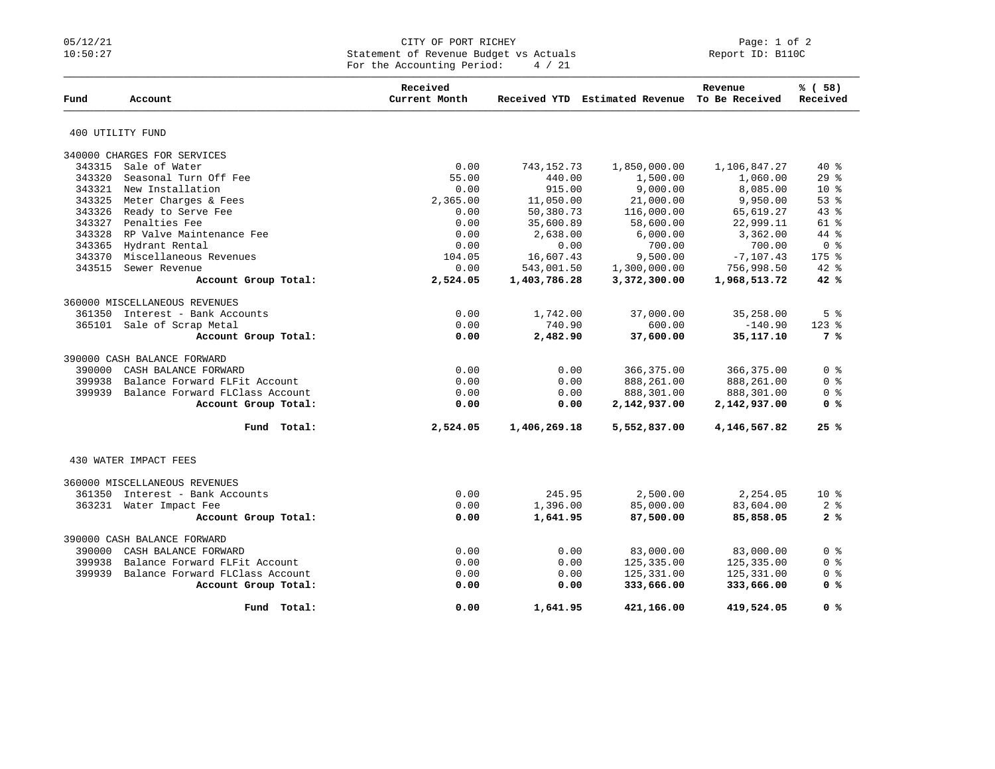## 05/12/21 CITY OF PORT RICHEY Page: 1 of 2 10:50:27 Statement of Revenue Budget vs Actuals Report ID: B110C For the Accounting Period: 4 / 21

|        |                                 | Received      |              |                                               | Revenue        | % (58)         |
|--------|---------------------------------|---------------|--------------|-----------------------------------------------|----------------|----------------|
| Fund   | Account                         | Current Month |              | Received YTD Estimated Revenue To Be Received |                | Received       |
|        | 400 UTILITY FUND                |               |              |                                               |                |                |
|        | 340000 CHARGES FOR SERVICES     |               |              |                                               |                |                |
| 343315 | Sale of Water                   | 0.00          | 743, 152. 73 | 1,850,000.00                                  | 1,106,847.27   | $40*$          |
| 343320 | Seasonal Turn Off Fee           | 55.00         | 440.00       | 1,500.00                                      | 1,060.00       | 29%            |
| 343321 | New Installation                | 0.00          | 915.00       | 9,000.00                                      | 8,085.00       | $10*$          |
| 343325 | Meter Charges & Fees            | 2,365.00      | 11,050.00    | 21,000.00                                     | 9,950.00       | 53 %           |
| 343326 | Ready to Serve Fee              | 0.00          | 50,380.73    | 116,000.00                                    | 65,619.27      | 43%            |
| 343327 | Penalties Fee                   | 0.00          | 35,600.89    | 58,600.00                                     | 22,999.11      | $61$ %         |
| 343328 | RP Valve Maintenance Fee        | 0.00          | 2,638.00     | 6,000.00                                      | 3,362.00       | 44 %           |
| 343365 | Hydrant Rental                  | 0.00          | 0.00         | 700.00                                        | 700.00         | 0 <sup>8</sup> |
| 343370 | Miscellaneous Revenues          | 104.05        | 16,607.43    | 9,500.00                                      | $-7,107.43$    | $175$ $%$      |
| 343515 | Sewer Revenue                   | 0.00          | 543,001.50   | 1,300,000.00                                  | 756,998.50     | $42$ $%$       |
|        | Account Group Total:            | 2,524.05      | 1,403,786.28 | 3,372,300.00                                  | 1,968,513.72   | 42%            |
|        | 360000 MISCELLANEOUS REVENUES   |               |              |                                               |                |                |
| 361350 | Interest - Bank Accounts        | 0.00          | 1,742.00     | 37,000.00                                     | 35,258.00      | 5 <sup>8</sup> |
|        | 365101 Sale of Scrap Metal      | 0.00          | 740.90       | 600.00                                        | $-140.90$      | $123$ $%$      |
|        | Account Group Total:            | 0.00          | 2,482.90     | 37,600.00                                     | 35, 117. 10    | 7 %            |
|        | 390000 CASH BALANCE FORWARD     |               |              |                                               |                |                |
| 390000 | CASH BALANCE FORWARD            | 0.00          | 0.00         | 366,375.00                                    | 366,375.00     | 0 <sup>8</sup> |
| 399938 | Balance Forward FLFit Account   | 0.00          | 0.00         | 888,261.00                                    | 888,261.00     | 0 <sup>8</sup> |
| 399939 | Balance Forward FLClass Account | 0.00          | 0.00         | 888,301.00                                    | 888,301.00     | 0 <sup>8</sup> |
|        | Account Group Total:            | 0.00          | 0.00         | 2,142,937.00                                  | 2,142,937.00   | 0 <sup>8</sup> |
|        |                                 |               |              |                                               |                |                |
|        | Fund Total:                     | 2,524.05      | 1,406,269.18 | 5,552,837.00                                  | 4, 146, 567.82 | 25%            |
|        | 430 WATER IMPACT FEES           |               |              |                                               |                |                |
|        | 360000 MISCELLANEOUS REVENUES   |               |              |                                               |                |                |
| 361350 | Interest - Bank Accounts        | 0.00          | 245.95       | 2,500.00                                      | 2,254.05       | $10*$          |
|        |                                 | 0.00          | 1,396.00     |                                               | 83,604.00      | 2 <sub>8</sub> |
|        | 363231 Water Impact Fee         |               |              | 85,000.00                                     |                | 2%             |
|        | Account Group Total:            | 0.00          | 1,641.95     | 87,500.00                                     | 85,858.05      |                |
|        | 390000 CASH BALANCE FORWARD     |               |              |                                               |                |                |
| 390000 | CASH BALANCE FORWARD            | 0.00          | 0.00         | 83,000.00                                     | 83,000.00      | 0 <sup>8</sup> |
| 399938 | Balance Forward FLFit Account   | 0.00          | 0.00         | 125,335.00                                    | 125,335.00     | 0 <sup>8</sup> |
| 399939 | Balance Forward FLClass Account | 0.00          | 0.00         | 125,331.00                                    | 125,331.00     | 0 <sup>8</sup> |
|        | Account Group Total:            | 0.00          | 0.00         | 333,666.00                                    | 333,666.00     | 0 <sup>8</sup> |
|        | Fund Total:                     | 0.00          | 1,641.95     | 421,166.00                                    | 419,524.05     | 0 <sup>8</sup> |